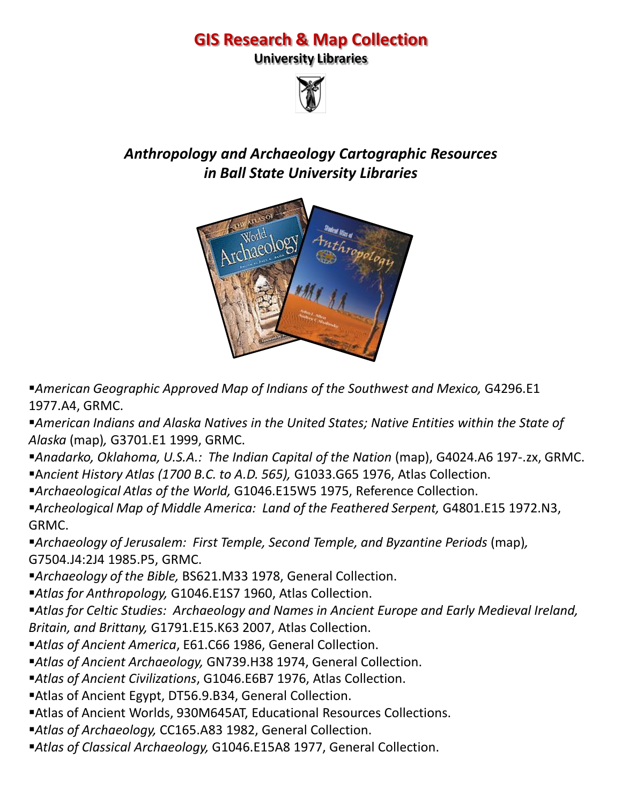## **GIS Research & Map Collection**

**University Libraries**



## *Anthropology and Archaeology Cartographic Resources in Ball State University Libraries*



**American Geographic Approved Map of Indians of the Southwest and Mexico, G4296.E1** 1977.A4, GRMC.

- *American Indians and Alaska Natives in the United States; Native Entities within the State of Alaska* (map)*,* G3701.E1 1999, GRMC.
- *Anadarko, Oklahoma, U.S.A.: The Indian Capital of the Nation* (map), G4024.A6 197-.zx, GRMC.
- A*ncient History Atlas (1700 B.C. to A.D. 565),* G1033.G65 1976, Atlas Collection.
- *Archaeological Atlas of the World,* G1046.E15W5 1975, Reference Collection.
- *Archeological Map of Middle America: Land of the Feathered Serpent,* G4801.E15 1972.N3, GRMC.
- *Archaeology of Jerusalem: First Temple, Second Temple, and Byzantine Periods* (map)*,*  G7504.J4:2J4 1985.P5, GRMC.
- *Archaeology of the Bible,* BS621.M33 1978, General Collection.
- *Atlas for Anthropology,* G1046.E1S7 1960, Atlas Collection.

*Atlas for Celtic Studies: Archaeology and Names in Ancient Europe and Early Medieval Ireland, Britain, and Brittany,* G1791.E15.K63 2007, Atlas Collection.

- *Atlas of Ancient America*, E61.C66 1986, General Collection.
- *Atlas of Ancient Archaeology,* GN739.H38 1974, General Collection.
- *Atlas of Ancient Civilizations*, G1046.E6B7 1976, Atlas Collection.
- Atlas of Ancient Egypt, DT56.9.B34, General Collection.
- Atlas of Ancient Worlds, 930M645AT, Educational Resources Collections.
- *Atlas of Archaeology,* CC165.A83 1982, General Collection.
- *Atlas of Classical Archaeology,* G1046.E15A8 1977, General Collection.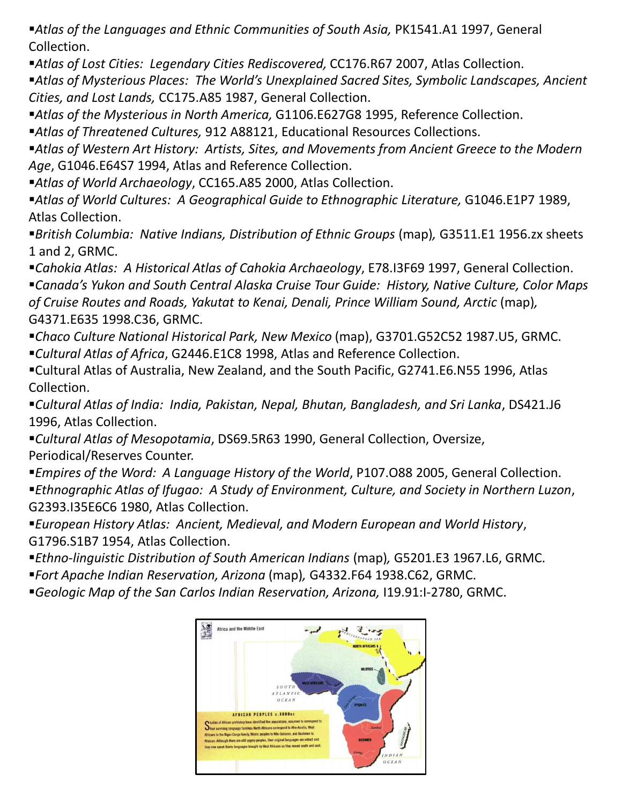**Atlas of the Languages and Ethnic Communities of South Asia, PK1541.A1 1997, General** Collection.

*Atlas of Lost Cities: Legendary Cities Rediscovered,* CC176.R67 2007, Atlas Collection.

*Atlas of Mysterious Places: The World's Unexplained Sacred Sites, Symbolic Landscapes, Ancient Cities, and Lost Lands,* CC175.A85 1987, General Collection.

*Atlas of the Mysterious in North America,* G1106.E627G8 1995, Reference Collection.

*Atlas of Threatened Cultures,* 912 A88121, Educational Resources Collections.

*Atlas of Western Art History: Artists, Sites, and Movements from Ancient Greece to the Modern Age*, G1046.E64S7 1994, Atlas and Reference Collection.

*Atlas of World Archaeology*, CC165.A85 2000, Atlas Collection.

**Atlas of World Cultures: A Geographical Guide to Ethnographic Literature, G1046.E1P7 1989,** Atlas Collection.

*British Columbia: Native Indians, Distribution of Ethnic Groups* (map)*,* G3511.E1 1956.zx sheets 1 and 2, GRMC.

*Cahokia Atlas: A Historical Atlas of Cahokia Archaeology*, E78.I3F69 1997, General Collection. *Canada's Yukon and South Central Alaska Cruise Tour Guide: History, Native Culture, Color Maps of Cruise Routes and Roads, Yakutat to Kenai, Denali, Prince William Sound, Arctic* (map)*,*  G4371.E635 1998.C36, GRMC.

*Chaco Culture National Historical Park, New Mexico* (map), G3701.G52C52 1987.U5, GRMC. *Cultural Atlas of Africa*, G2446.E1C8 1998, Atlas and Reference Collection.

Cultural Atlas of Australia, New Zealand, and the South Pacific, G2741.E6.N55 1996, Atlas Collection.

*Cultural Atlas of India: India, Pakistan, Nepal, Bhutan, Bangladesh, and Sri Lanka*, DS421.J6 1996, Atlas Collection.

*Cultural Atlas of Mesopotamia*, DS69.5R63 1990, General Collection, Oversize, Periodical/Reserves Counter.

*Empires of the Word: A Language History of the World*, P107.O88 2005, General Collection. *Ethnographic Atlas of Ifugao: A Study of Environment, Culture, and Society in Northern Luzon*, G2393.I35E6C6 1980, Atlas Collection.

*European History Atlas: Ancient, Medieval, and Modern European and World History*, G1796.S1B7 1954, Atlas Collection.

*Ethno-linguistic Distribution of South American Indians* (map)*,* G5201.E3 1967.L6, GRMC.

*Fort Apache Indian Reservation, Arizona* (map)*,* G4332.F64 1938.C62, GRMC.

*Geologic Map of the San Carlos Indian Reservation, Arizona,* I19.91:I-2780, GRMC.

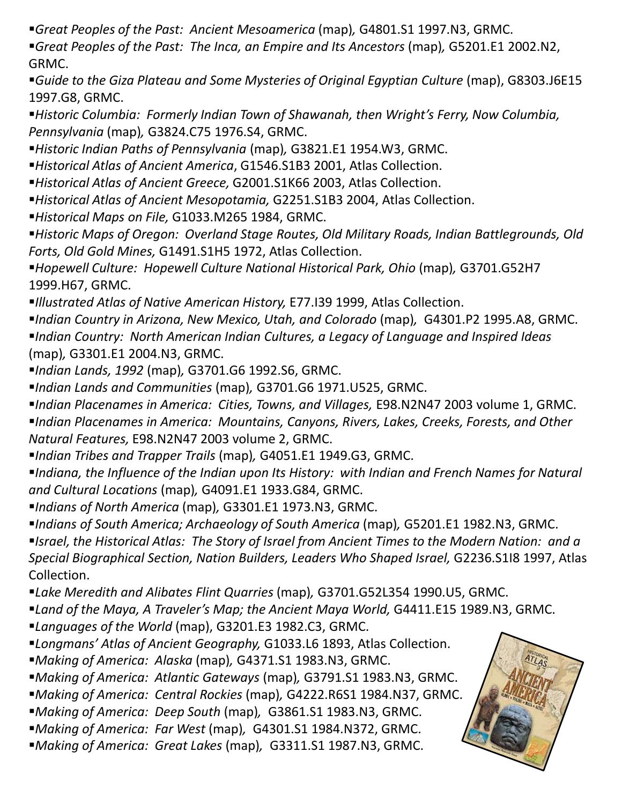*Great Peoples of the Past: Ancient Mesoamerica* (map)*,* G4801.S1 1997.N3, GRMC.

*Great Peoples of the Past: The Inca, an Empire and Its Ancestors* (map)*,* G5201.E1 2002.N2, GRMC.

**Guide to the Giza Plateau and Some Mysteries of Original Egyptian Culture (map), G8303.J6E15** 1997.G8, GRMC.

*Historic Columbia: Formerly Indian Town of Shawanah, then Wright's Ferry, Now Columbia, Pennsylvania* (map)*,* G3824.C75 1976.S4, GRMC.

*Historic Indian Paths of Pennsylvania* (map)*,* G3821.E1 1954.W3, GRMC.

*Historical Atlas of Ancient America*, G1546.S1B3 2001, Atlas Collection.

*Historical Atlas of Ancient Greece,* G2001.S1K66 2003, Atlas Collection.

*Historical Atlas of Ancient Mesopotamia,* G2251.S1B3 2004, Atlas Collection.

*Historical Maps on File,* G1033.M265 1984, GRMC.

*Historic Maps of Oregon: Overland Stage Routes, Old Military Roads, Indian Battlegrounds, Old Forts, Old Gold Mines,* G1491.S1H5 1972, Atlas Collection.

**Hopewell Culture: Hopewell Culture National Historical Park, Ohio (map), G3701.G52H7** 1999.H67, GRMC.

*Illustrated Atlas of Native American History,* E77.I39 1999, Atlas Collection.

■*Indian Country in Arizona, New Mexico, Utah, and Colorado* (map), G4301.P2 1995.A8, GRMC. *Indian Country: North American Indian Cultures, a Legacy of Language and Inspired Ideas*  (map)*,* G3301.E1 2004.N3, GRMC.

*Indian Lands, 1992* (map)*,* G3701.G6 1992.S6, GRMC.

*Indian Lands and Communities* (map)*,* G3701.G6 1971.U525, GRMC.

*Indian Placenames in America: Cities, Towns, and Villages,* E98.N2N47 2003 volume 1, GRMC. *Indian Placenames in America: Mountains, Canyons, Rivers, Lakes, Creeks, Forests, and Other Natural Features,* E98.N2N47 2003 volume 2, GRMC.

*Indian Tribes and Trapper Trails* (map)*,* G4051.E1 1949.G3, GRMC.

*Indiana, the Influence of the Indian upon Its History: with Indian and French Names for Natural and Cultural Locations* (map)*,* G4091.E1 1933.G84, GRMC.

*Indians of North America* (map)*,* G3301.E1 1973.N3, GRMC.

*Indians of South America; Archaeology of South America* (map)*,* G5201.E1 1982.N3, GRMC.

*Israel, the Historical Atlas: The Story of Israel from Ancient Times to the Modern Nation: and a Special Biographical Section, Nation Builders, Leaders Who Shaped Israel,* G2236.S1I8 1997, Atlas Collection.

*Lake Meredith and Alibates Flint Quarries* (map)*,* G3701.G52L354 1990.U5, GRMC.

**Land of the Maya, A Traveler's Map; the Ancient Maya World, G4411.E15 1989.N3, GRMC.** 

- *Languages of the World* (map), G3201.E3 1982.C3, GRMC.
- *Longmans' Atlas of Ancient Geography,* G1033.L6 1893, Atlas Collection.
- *Making of America: Alaska* (map)*,* G4371.S1 1983.N3, GRMC.
- *Making of America: Atlantic Gateways* (map)*,* G3791.S1 1983.N3, GRMC.
- *Making of America: Central Rockies* (map)*,* G4222.R6S1 1984.N37, GRMC.
- *Making of America: Deep South* (map)*,* G3861.S1 1983.N3, GRMC.
- *Making of America: Far West* (map)*,* G4301.S1 1984.N372, GRMC.
- *Making of America: Great Lakes* (map)*,* G3311.S1 1987.N3, GRMC.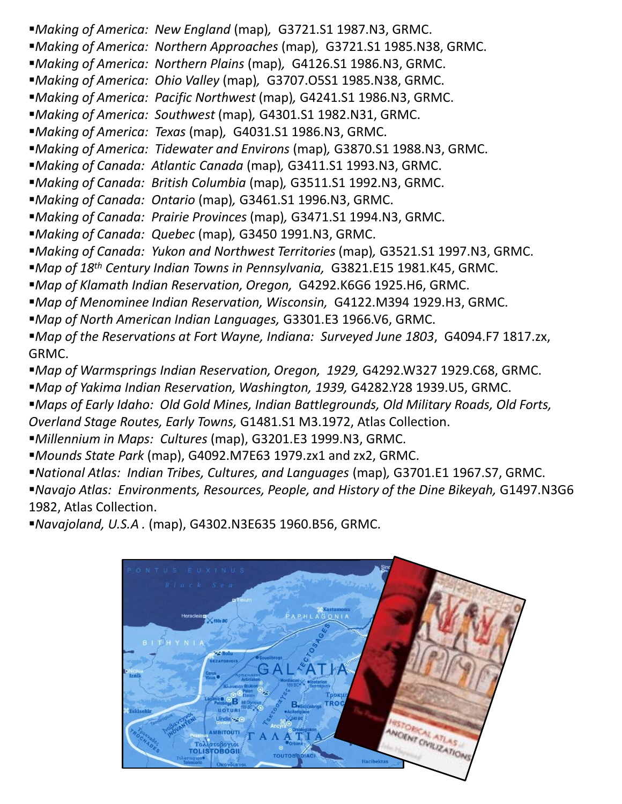- *Making of America: New England* (map)*,* G3721.S1 1987.N3, GRMC.
- *Making of America: Northern Approaches* (map)*,* G3721.S1 1985.N38, GRMC.
- *Making of America: Northern Plains* (map)*,* G4126.S1 1986.N3, GRMC.
- *Making of America: Ohio Valley* (map)*,* G3707.O5S1 1985.N38, GRMC.
- *Making of America: Pacific Northwest* (map)*,* G4241.S1 1986.N3, GRMC.
- *Making of America: Southwest* (map)*,* G4301.S1 1982.N31, GRMC.
- *Making of America: Texas* (map)*,* G4031.S1 1986.N3, GRMC.
- *Making of America: Tidewater and Environs* (map)*,* G3870.S1 1988.N3, GRMC.
- *Making of Canada: Atlantic Canada* (map)*,* G3411.S1 1993.N3, GRMC.
- *Making of Canada: British Columbia* (map)*,* G3511.S1 1992.N3, GRMC.
- *Making of Canada: Ontario* (map)*,* G3461.S1 1996.N3, GRMC.
- *Making of Canada: Prairie Provinces* (map)*,* G3471.S1 1994.N3, GRMC.
- *Making of Canada: Quebec* (map)*,* G3450 1991.N3, GRMC.
- Making of Canada: Yukon and Northwest Territories (map), G3521.S1 1997.N3, GRMC.
- *Map of 18th Century Indian Towns in Pennsylvania,* G3821.E15 1981.K45, GRMC.
- *Map of Klamath Indian Reservation, Oregon,* G4292.K6G6 1925.H6, GRMC.
- *Map of Menominee Indian Reservation, Wisconsin,* G4122.M394 1929.H3, GRMC.
- *Map of North American Indian Languages,* G3301.E3 1966.V6, GRMC.
- *Map of the Reservations at Fort Wayne, Indiana: Surveyed June 1803*, G4094.F7 1817.zx, GRMC.
- *Map of Warmsprings Indian Reservation, Oregon, 1929,* G4292.W327 1929.C68, GRMC.
- *Map of Yakima Indian Reservation, Washington, 1939,* G4282.Y28 1939.U5, GRMC.
- *Maps of Early Idaho: Old Gold Mines, Indian Battlegrounds, Old Military Roads, Old Forts,*
- *Overland Stage Routes, Early Towns,* G1481.S1 M3.1972, Atlas Collection.
- *Millennium in Maps: Cultures* (map), G3201.E3 1999.N3, GRMC.
- *Mounds State Park* (map), G4092.M7E63 1979.zx1 and zx2, GRMC.
- *National Atlas: Indian Tribes, Cultures, and Languages* (map)*,* G3701.E1 1967.S7, GRMC.
- *Navajo Atlas: Environments, Resources, People, and History of the Dine Bikeyah, G1497.N3G6* 1982, Atlas Collection.
- *Navajoland, U.S.A .* (map), G4302.N3E635 1960.B56, GRMC.